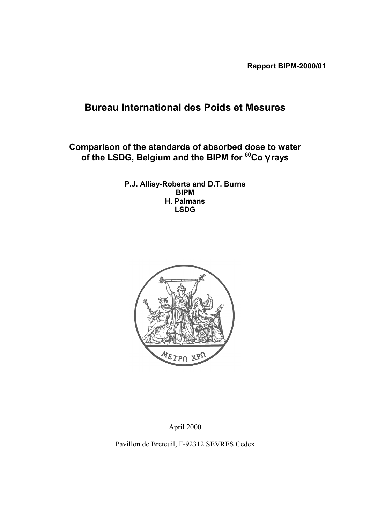**Rapport BIPM-2000/01**

# **Bureau International des Poids et Mesures**

**Comparison of the standards of absorbed dose to water of the LSDG, Belgium and the BIPM for 60Co** γ **rays**

> **P.J. Allisy-Roberts and D.T. Burns BIPM H. Palmans LSDG**



April 2000

Pavillon de Breteuil, F-92312 SEVRES Cedex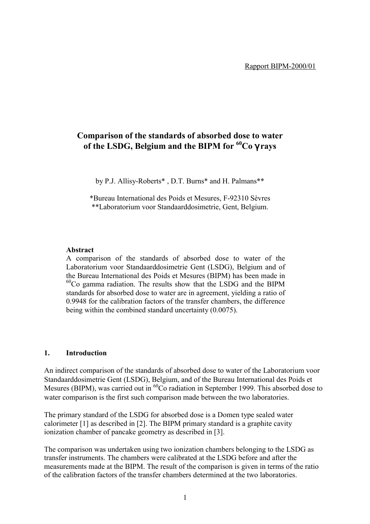# **Comparison of the standards of absorbed dose to water of the LSDG, Belgium and the BIPM for 60Co** γ **rays**

by P.J. Allisy-Roberts\* , D.T. Burns\* and H. Palmans\*\*

\*Bureau International des Poids et Mesures, F-92310 SËvres \*\*Laboratorium voor Standaarddosimetrie, Gent, Belgium.

#### **Abstract**

A comparison of the standards of absorbed dose to water of the Laboratorium voor Standaarddosimetrie Gent (LSDG), Belgium and of the Bureau International des Poids et Mesures (BIPM) has been made in  $^{60}$ Co gamma radiation. The results show that the LSDG and the BIPM standards for absorbed dose to water are in agreement, yielding a ratio of 0.9948 for the calibration factors of the transfer chambers, the difference being within the combined standard uncertainty (0.0075).

### **1. Introduction**

An indirect comparison of the standards of absorbed dose to water of the Laboratorium voor Standaarddosimetrie Gent (LSDG), Belgium, and of the Bureau International des Poids et Mesures (BIPM), was carried out in <sup>60</sup>Co radiation in September 1999. This absorbed dose to water comparison is the first such comparison made between the two laboratories.

The primary standard of the LSDG for absorbed dose is a Domen type sealed water calorimeter [1] as described in [2]. The BIPM primary standard is a graphite cavity ionization chamber of pancake geometry as described in [3].

The comparison was undertaken using two ionization chambers belonging to the LSDG as transfer instruments. The chambers were calibrated at the LSDG before and after the measurements made at the BIPM. The result of the comparison is given in terms of the ratio of the calibration factors of the transfer chambers determined at the two laboratories.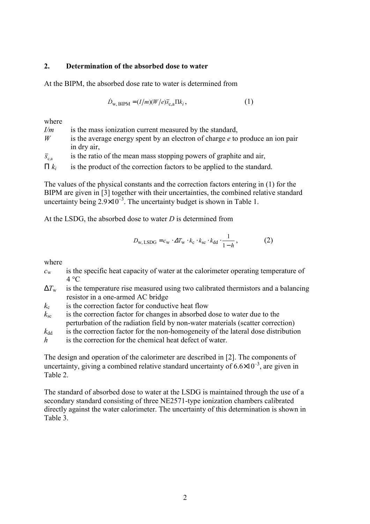# **2. Determination of the absorbed dose to water**

At the BIPM, the absorbed dose rate to water is determined from

$$
\dot{D}_{\rm w, BIPM} = (I/m)(W/e)\bar{s}_{\rm c,a} \Pi k_i, \qquad (1)
$$

where

| I/m                  | is the mass ionization current measured by the standard,                        |
|----------------------|---------------------------------------------------------------------------------|
| W                    | is the average energy spent by an electron of charge $e$ to produce an ion pair |
|                      | in dry air,                                                                     |
| $\overline{S}_{c,a}$ | is the ratio of the mean mass stopping powers of graphite and air,              |
| $\prod k_i$          | is the product of the correction factors to be applied to the standard.         |

The values of the physical constants and the correction factors entering in (1) for the BIPM are given in [3] together with their uncertainties, the combined relative standard uncertainty being  $2.9\times10^{-3}$ . The uncertainty budget is shown in Table 1.

At the LSDG, the absorbed dose to water *D* is determined from

$$
D_{\rm w, LSDG} = c_{\rm w} \cdot \Delta T_{\rm w} \cdot k_{\rm c} \cdot k_{\rm sc} \cdot k_{\rm dd} \cdot \frac{1}{1 - h},\tag{2}
$$

where

- *c*w is the specific heat capacity of water at the calorimeter operating temperature of  $4 °C$
- $\Delta T_{\rm w}$  is the temperature rise measured using two calibrated thermistors and a balancing resistor in a one-armed AC bridge
- $k_c$  is the correction factor for conductive heat flow
- $k_{\rm sc}$  is the correction factor for changes in absorbed dose to water due to the perturbation of the radiation field by non-water materials (scatter correction)

 $k_{dd}$  is the correction factor for the non-homogeneity of the lateral dose distribution

*h* is the correction for the chemical heat defect of water.

The design and operation of the calorimeter are described in [2]. The components of uncertainty, giving a combined relative standard uncertainty of  $6.6\times10^{-3}$ , are given in Table 2.

The standard of absorbed dose to water at the LSDG is maintained through the use of a secondary standard consisting of three NE2571-type ionization chambers calibrated directly against the water calorimeter. The uncertainty of this determination is shown in Table 3.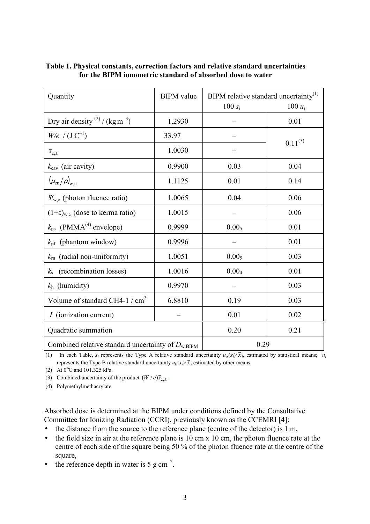| Quantity                                                      | <b>BIPM</b> value | BIPM relative standard uncertainty <sup>(1)</sup> |              |
|---------------------------------------------------------------|-------------------|---------------------------------------------------|--------------|
|                                                               |                   | $100 s_i$                                         | $100 u_i$    |
| Dry air density $^{(2)}$ / (kg m <sup>-3</sup> )              | 1.2930            |                                                   | 0.01         |
| $W/e$ / $(J C^{-1})$                                          | 33.97             |                                                   | $0.11^{(3)}$ |
| $\overline{s}_{c,a}$                                          | 1.0030            |                                                   |              |
| $k_{\text{cav}}$ (air cavity)                                 | 0.9900            | 0.03                                              | 0.04         |
| $(\overline{\mu}_{en}/\rho)_{w,c}$                            | 1.1125            | 0.01                                              | 0.14         |
| $\Psi_{\rm w.c}$ (photon fluence ratio)                       | 1.0065            | 0.04                                              | 0.06         |
| $(1+\epsilon)_{w,c}$ (dose to kerma ratio)                    | 1.0015            |                                                   | 0.06         |
| $k_{\text{ps}}$ (PMMA <sup>(4)</sup> envelope)                | 0.9999            | 0.00 <sub>5</sub>                                 | 0.01         |
| $k_{\text{pf}}$ (phantom window)                              | 0.9996            |                                                   | 0.01         |
| $k_{\rm rn}$ (radial non-uniformity)                          | 1.0051            | 0.005                                             | 0.03         |
| (recombination losses)<br>$k_{\rm s}$                         | 1.0016            | 0.004                                             | 0.01         |
| $k_h$ (humidity)                                              | 0.9970            |                                                   | 0.03         |
| Volume of standard CH4-1 / $cm3$                              | 6.8810            | 0.19                                              | 0.03         |
| <i>I</i> (ionization current)                                 |                   | 0.01                                              | 0.02         |
| Quadratic summation                                           | 0.20              | 0.21                                              |              |
| Combined relative standard uncertainty of $D_{\text{w,BIPM}}$ | 0.29              |                                                   |              |

# **Table 1. Physical constants, correction factors and relative standard uncertainties for the BIPM ionometric standard of absorbed dose to water**

(1) In each Table,  $s_i$  represents the Type A relative standard uncertainty  $u_A(x_i)/\bar{x}_i$ , estimated by statistical means;  $u_i$ represents the Type B relative standard uncertainty  $u_B(x_i)/\bar{x}_i$  estimated by other means.

(2) At 0°C and 101.325 kPa.

(3) Combined uncertainty of the product  $(W / e)$ *s*<sub>c</sub><sub>a</sub>.

(4) Polymethylmethacrylate

Absorbed dose is determined at the BIPM under conditions defined by the Consultative Committee for Ionizing Radiation (CCRI), previously known as the CCEMRI [4]:

- the distance from the source to the reference plane (centre of the detector) is 1 m,
- the field size in air at the reference plane is 10 cm x 10 cm, the photon fluence rate at the centre of each side of the square being 50 % of the photon fluence rate at the centre of the square,

• the reference depth in water is 5 g  $cm^{-2}$ .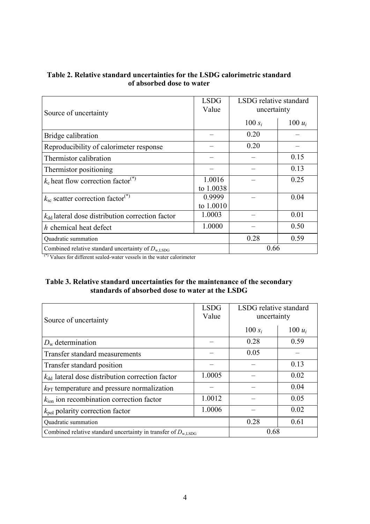| Table 2. Relative standard uncertainties for the LSDG calorimetric standard |
|-----------------------------------------------------------------------------|
| of absorbed dose to water                                                   |

| Source of uncertainty                                         | <b>LSDG</b><br>Value | LSDG relative standard<br>uncertainty |           |
|---------------------------------------------------------------|----------------------|---------------------------------------|-----------|
|                                                               |                      | 100 $s_i$                             | 100 $u_i$ |
| Bridge calibration                                            |                      | 0.20                                  |           |
| Reproducibility of calorimeter response                       |                      | 0.20                                  |           |
| Thermistor calibration                                        |                      |                                       | 0.15      |
| Thermistor positioning                                        |                      |                                       | 0.13      |
| $k_c$ heat flow correction factor <sup>(*)</sup>              | 1.0016               |                                       | 0.25      |
|                                                               | to 1.0038            |                                       |           |
| $k_{\rm sc}$ scatter correction factor <sup>(*)</sup>         | 0.9999               |                                       | 0.04      |
|                                                               | to 1.0010            |                                       |           |
| $k_{\rm dd}$ lateral dose distribution correction factor      | 1.0003               |                                       | 0.01      |
| h chemical heat defect                                        | 1.0000               |                                       | 0.50      |
| Quadratic summation                                           |                      | 0.28                                  | 0.59      |
| Combined relative standard uncertainty of $D_{\text{w,LSDG}}$ | 0.66                 |                                       |           |

(\*) Values for different sealed-water vessels in the water calorimeter

# **Table 3. Relative standard uncertainties for the maintenance of the secondary standards of absorbed dose to water at the LSDG**

| Source of uncertainty                                                      | <b>LSDG</b><br>Value | LSDG relative standard<br>uncertainty |           |
|----------------------------------------------------------------------------|----------------------|---------------------------------------|-----------|
|                                                                            |                      | 100 $s_i$                             | $100 u_i$ |
| $D_{\rm w}$ determination                                                  |                      | 0.28                                  | 0.59      |
| Transfer standard measurements                                             |                      | 0.05                                  |           |
| Transfer standard position                                                 |                      |                                       | 0.13      |
| $k_{\rm dd}$ lateral dose distribution correction factor                   | 1.0005               |                                       | 0.02      |
| $k_{\text{PT}}$ temperature and pressure normalization                     |                      |                                       | 0.04      |
| $k_{\text{ion}}$ ion recombination correction factor                       | 1.0012               |                                       | 0.05      |
| $k_{\text{pol}}$ polarity correction factor                                | 1.0006               |                                       | 0.02      |
| Quadratic summation                                                        |                      | 0.28                                  | 0.61      |
| Combined relative standard uncertainty in transfer of $D_{\text{w, LSDG}}$ |                      | 0.68                                  |           |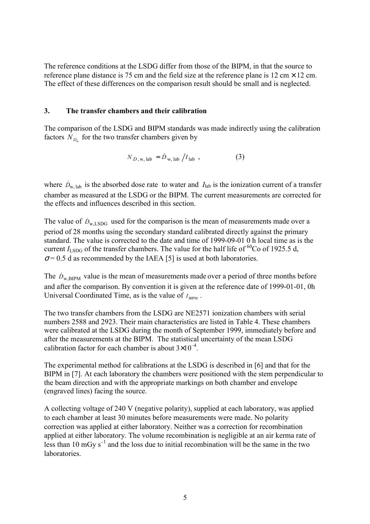The reference conditions at the LSDG differ from those of the BIPM, in that the source to reference plane distance is 75 cm and the field size at the reference plane is 12 cm  $\times$  12 cm. The effect of these differences on the comparison result should be small and is neglected.

## **3. The transfer chambers and their calibration**

The comparison of the LSDG and BIPM standards was made indirectly using the calibration factors  $N_p$  for the two transfer chambers given by

$$
N_{D, w, lab} = \dot{D}_{w, lab} / I_{lab} , \qquad (3)
$$

where  $\dot{D}_{w, lab}$  is the absorbed dose rate to water and  $I_{lab}$  is the ionization current of a transfer chamber as measured at the LSDG or the BIPM. The current measurements are corrected for the effects and influences described in this section.

The value of  $\dot{D}_{\text{wLSDG}}$  used for the comparison is the mean of measurements made over a period of 28 months using the secondary standard calibrated directly against the primary standard. The value is corrected to the date and time of 1999-09-01 0 h local time as is the current  $I_{\text{LSDG}}$  of the transfer chambers. The value for the half life of <sup>60</sup>Co of 1925.5 d,  $\sigma$  = 0.5 d as recommended by the IAEA [5] is used at both laboratories.

The  $\dot{D}_{\text{w BIPM}}$  value is the mean of measurements made over a period of three months before and after the comparison. By convention it is given at the reference date of 1999-01-01, 0h Universal Coordinated Time, as is the value of  $I_{\text{BIPM}}$ .

The two transfer chambers from the LSDG are NE2571 ionization chambers with serial numbers 2588 and 2923. Their main characteristics are listed in Table 4. These chambers were calibrated at the LSDG during the month of September 1999, immediately before and after the measurements at the BIPM. The statistical uncertainty of the mean LSDG calibration factor for each chamber is about  $3\times10^{-4}$ .

The experimental method for calibrations at the LSDG is described in [6] and that for the BIPM in [7]. At each laboratory the chambers were positioned with the stem perpendicular to the beam direction and with the appropriate markings on both chamber and envelope (engraved lines) facing the source.

A collecting voltage of 240 V (negative polarity), supplied at each laboratory, was applied to each chamber at least 30 minutes before measurements were made. No polarity correction was applied at either laboratory. Neither was a correction for recombination applied at either laboratory. The volume recombination is negligible at an air kerma rate of less than 10 mGv  $s^{-1}$  and the loss due to initial recombination will be the same in the two laboratories.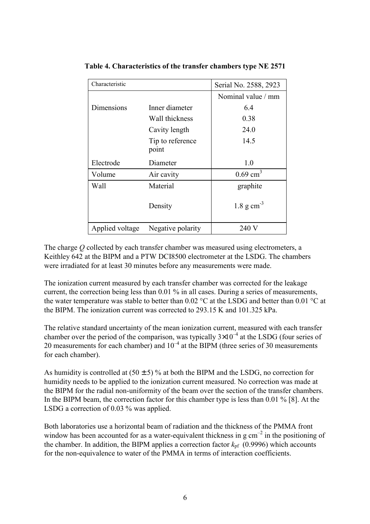| Characteristic  |                           | Serial No. 2588, 2923   |
|-----------------|---------------------------|-------------------------|
|                 |                           | Nominal value / mm      |
| Dimensions      | Inner diameter            | 6.4                     |
|                 | Wall thickness            | 0.38                    |
|                 | Cavity length             | 24.0                    |
|                 | Tip to reference<br>point | 14.5                    |
| Electrode       | Diameter                  | 1.0                     |
| Volume          | Air cavity                | $0.69$ cm <sup>3</sup>  |
| Wall            | Material                  | graphite                |
|                 | Density                   | $1.8 \text{ g cm}^{-3}$ |
| Applied voltage | Negative polarity         | 240 V                   |

**Table 4. Characteristics of the transfer chambers type NE 2571**

The charge *Q* collected by each transfer chamber was measured using electrometers, a Keithley 642 at the BIPM and a PTW DCI8500 electrometer at the LSDG. The chambers were irradiated for at least 30 minutes before any measurements were made.

The ionization current measured by each transfer chamber was corrected for the leakage current, the correction being less than 0.01 % in all cases. During a series of measurements, the water temperature was stable to better than  $0.02 \degree C$  at the LSDG and better than  $0.01 \degree C$  at the BIPM. The ionization current was corrected to 293.15 K and 101.325 kPa.

The relative standard uncertainty of the mean ionization current, measured with each transfer chamber over the period of the comparison, was typically  $3\times10^{-4}$  at the LSDG (four series of 20 measurements for each chamber) and  $10^{-4}$  at the BIPM (three series of 30 measurements for each chamber).

As humidity is controlled at  $(50 \pm 5)$ % at both the BIPM and the LSDG, no correction for humidity needs to be applied to the ionization current measured. No correction was made at the BIPM for the radial non-uniformity of the beam over the section of the transfer chambers. In the BIPM beam, the correction factor for this chamber type is less than 0.01 % [8]. At the LSDG a correction of 0.03 % was applied.

Both laboratories use a horizontal beam of radiation and the thickness of the PMMA front window has been accounted for as a water-equivalent thickness in g  $cm<sup>-2</sup>$  in the positioning of the chamber. In addition, the BIPM applies a correction factor  $k_{pf}$  (0.9996) which accounts for the non-equivalence to water of the PMMA in terms of interaction coefficients.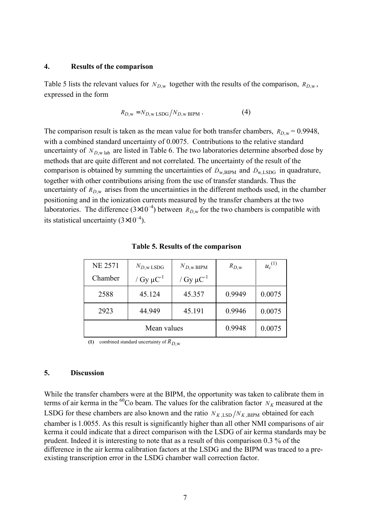### **4. Results of the comparison**

Table 5 lists the relevant values for  $N_{D,w}$  together with the results of the comparison,  $R_{D,w}$ , expressed in the form

$$
R_{D, \mathbf{w}} = N_{D, \mathbf{w} \text{ LSDG}} / N_{D, \mathbf{w} \text{ BIPM}} \,. \tag{4}
$$

The comparison result is taken as the mean value for both transfer chambers,  $R_{D,w} = 0.9948$ , with a combined standard uncertainty of 0.0075. Contributions to the relative standard uncertainty of  $N_{D,w}$  lab are listed in Table 6. The two laboratories determine absorbed dose by methods that are quite different and not correlated. The uncertainty of the result of the comparison is obtained by summing the uncertainties of  $D_{\text{w,BIPM}}$  and  $D_{\text{w,LSDG}}$  in quadrature, together with other contributions arising from the use of transfer standards. Thus the uncertainty of  $R_{D,w}$  arises from the uncertainties in the different methods used, in the chamber positioning and in the ionization currents measured by the transfer chambers at the two laboratories. The difference  $(3\times10^{-4})$  between  $R_{D,w}$  for the two chambers is compatible with its statistical uncertainty  $(3\times10^{-4})$ .

| <b>NE 2571</b> | $N_{D,w\text{ LSDG}}$      | $N_{D,\text{w BIPM}}$      | $R_{D,\text{w}}$ | $u_c^{(1)}$ |
|----------------|----------------------------|----------------------------|------------------|-------------|
| Chamber        | / Gy $\mu$ C <sup>-1</sup> | / Gy $\mu$ C <sup>-1</sup> |                  |             |
| 2588           | 45.124                     | 45.357                     | 0.9949           | 0.0075      |
| 2923           | 44.949                     | 45.191                     | 0.9946           | 0.0075      |
|                | Mean values                | 0.9948                     | 0.0075           |             |

#### **Table 5. Results of the comparison**

**(1)** combined standard uncertainty of  $R_D$ <sub>w</sub>

#### **5. Discussion**

While the transfer chambers were at the BIPM, the opportunity was taken to calibrate them in terms of air kerma in the <sup>60</sup>Co beam. The values for the calibration factor  $N_K$  measured at the LSDG for these chambers are also known and the ratio  $N_{K,\text{LSD}}/N_{K,\text{BIPM}}$  obtained for each chamber is 1.0055. As this result is significantly higher than all other NMI comparisons of air kerma it could indicate that a direct comparison with the LSDG of air kerma standards may be prudent. Indeed it is interesting to note that as a result of this comparison 0.3 % of the difference in the air kerma calibration factors at the LSDG and the BIPM was traced to a preexisting transcription error in the LSDG chamber wall correction factor.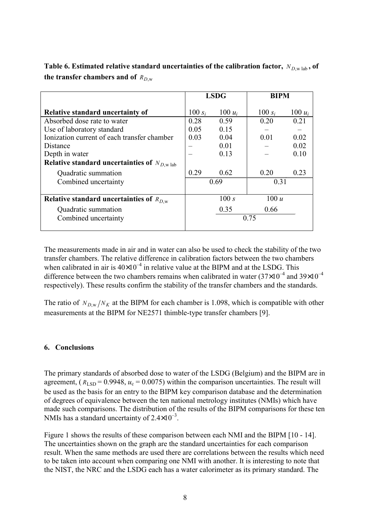|                                                         | <b>LSDG</b> |           | <b>BIPM</b> |           |
|---------------------------------------------------------|-------------|-----------|-------------|-----------|
| <b>Relative standard uncertainty of</b>                 | 100 $s_i$   | 100 $u_i$ | 100 $s_i$   | $100 u_i$ |
| Absorbed dose rate to water                             | 0.28        | 0.59      | 0.20        | 0.21      |
| Use of laboratory standard                              | 0.05        | 0.15      |             |           |
| Ionization current of each transfer chamber             | 0.03        | 0.04      | 0.01        | 0.02      |
| Distance                                                |             | 0.01      |             | 0.02      |
| Depth in water                                          |             | 0.13      |             | 0.10      |
| Relative standard uncertainties of $N_{D,\text{w lab}}$ |             |           |             |           |
| Quadratic summation                                     | 0.29        | 0.62      | 0.20        | 0.23      |
| Combined uncertainty                                    | 0.69        |           | 0.31        |           |
|                                                         |             |           |             |           |
| Relative standard uncertainties of $R_{D,w}$            |             | 100 s     | 100 u       |           |
| Quadratic summation                                     |             | 0.35      | 0.66        |           |
| Combined uncertainty                                    | 0.75        |           |             |           |
|                                                         |             |           |             |           |

**Table 6. Estimated relative standard uncertainties of the calibration factor,**  $N_{D,\text{w lab}}$ , of the transfer chambers and of  $R_{D,w}$ 

The measurements made in air and in water can also be used to check the stability of the two transfer chambers. The relative difference in calibration factors between the two chambers when calibrated in air is  $40\times10^{-4}$  in relative value at the BIPM and at the LSDG. This difference between the two chambers remains when calibrated in water  $(37\times10^{-4}$  and  $39\times10^{-4}$ respectively). These results confirm the stability of the transfer chambers and the standards.

The ratio of  $N_{D,w}/N_K$  at the BIPM for each chamber is 1.098, which is compatible with other measurements at the BIPM for NE2571 thimble-type transfer chambers [9].

# **6. Conclusions**

The primary standards of absorbed dose to water of the LSDG (Belgium) and the BIPM are in agreement,  $(R_{\text{LSD}} = 0.9948, u_c = 0.0075)$  within the comparison uncertainties. The result will be used as the basis for an entry to the BIPM key comparison database and the determination of degrees of equivalence between the ten national metrology institutes (NMIs) which have made such comparisons. The distribution of the results of the BIPM comparisons for these ten NMIs has a standard uncertainty of  $2.4\times10^{-3}$ .

Figure 1 shows the results of these comparison between each NMI and the BIPM [10 - 14]. The uncertainties shown on the graph are the standard uncertainties for each comparison result. When the same methods are used there are correlations between the results which need to be taken into account when comparing one NMI with another. It is interesting to note that the NIST, the NRC and the LSDG each has a water calorimeter as its primary standard. The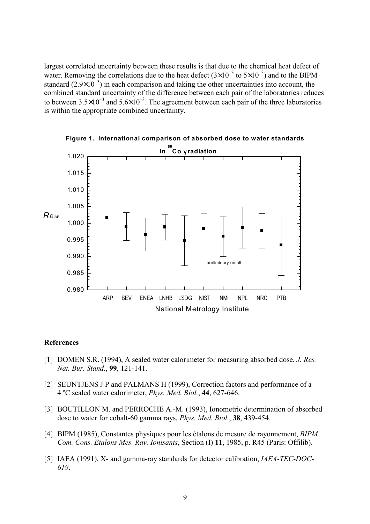largest correlated uncertainty between these results is that due to the chemical heat defect of water. Removing the correlations due to the heat defect  $(3\times10^{-3}$  to  $5\times10^{-3})$  and to the BIPM standard (2.9×10 $<sup>-3</sup>$ ) in each comparison and taking the other uncertainties into account, the</sup> combined standard uncertainty of the difference between each pair of the laboratories reduces to between  $3.5\times10^{-3}$  and  $5.6\times10^{-3}$ . The agreement between each pair of the three laboratories is within the appropriate combined uncertainty.



**Figure 1. International comparison of absorbed dose to water standards**

#### **References**

- [1] DOMEN S.R. (1994), A sealed water calorimeter for measuring absorbed dose, *J. Res. Nat. Bur. Stand.*, **99**, 121-141.
- [2] SEUNTJENS J P and PALMANS H (1999), Correction factors and performance of a 4 ºC sealed water calorimeter, *Phys. Med. Biol.*, **44**, 627-646.
- [3] BOUTILLON M. and PERROCHE A.-M. (1993), Ionometric determination of absorbed dose to water for cobalt-60 gamma rays, *Phys. Med. Biol.*, **38**, 439-454.
- [4] BIPM (1985), Constantes physiques pour les Ètalons de mesure de rayonnement, *BIPM Com. Cons. Etalons Mes. Ray. Ionisants*, Section (I) **11**, 1985, p. R45 (Paris: Offilib).
- [5] IAEA (1991), X- and gamma-ray standards for detector calibration, *IAEA-TEC-DOC-619*.